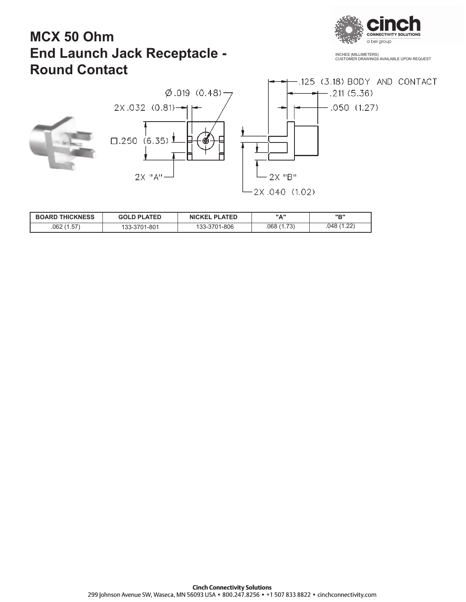

INCHES (MILLIMETERS) CUSTOMER DRAWINGS AVAILABLE UPON REQUEST

## **MCX 50 Ohm End Launch Jack Receptacle - Round Contact**



| <b>BOARD THICKNESS</b> | <b>GOLD PLATED</b> | <b>NICKEL PLATED</b> | <b>"A"</b> |            |
|------------------------|--------------------|----------------------|------------|------------|
| .062(1.57)             | 133-3701-801       | 133-3701-806         | .068(1.73) | .048(1.22) |